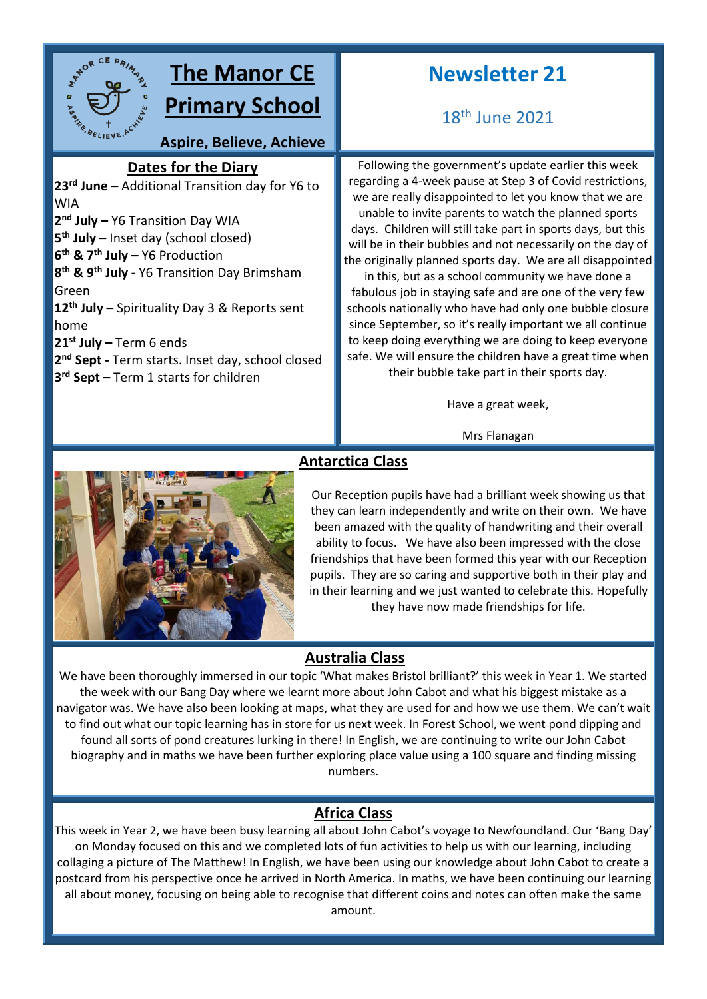

# **The Manor CE**

**Primary School**

**Aspire, Believe, Achieve**

### **Dates for the Diary**

**rd June –** Additional Transition day for Y6 to **sky**WIA **nd July –** Y6 Transition Day WIA **th July –** Inset day (school closed) **th & 7th July –** Y6 Production **th & 9th July -** Y6 Transition Day Brimsham Green **th July –** Spirituality Day 3 & Reports sent home **st July –** Term 6 ends **nd Sept -** Term starts. Inset day, school closed **rd Sept –** Term 1 starts for children

## **Newsletter 21**

18th June 2021

Following the government's update earlier this week regarding a 4-week pause at Step 3 of Covid restrictions, we are really disappointed to let you know that we are unable to invite parents to watch the planned sports days. Children will still take part in sports days, but this will be in their bubbles and not necessarily on the day of the originally planned sports day. We are all disappointed

in this, but as a school community we have done a fabulous job in staying safe and are one of the very few schools nationally who have had only one bubble closure since September, so it's really important we all continue to keep doing everything we are doing to keep everyone safe. We will ensure the children have a great time when their bubble take part in their sports day.

Have a great week,

Mrs Flanagan



### **Antarctica Class**

Our Reception pupils have had a brilliant week showing us that they can learn independently and write on their own. We have been amazed with the quality of handwriting and their overall ability to focus. We have also been impressed with the close friendships that have been formed this year with our Reception pupils. They are so caring and supportive both in their play and in their learning and we just wanted to celebrate this. Hopefully they have now made friendships for life.

### **Australia Class**

We have been thoroughly immersed in our topic 'What makes Bristol brilliant?' this week in Year 1. We started the week with our Bang Day where we learnt more about John Cabot and what his biggest mistake as a navigator was. We have also been looking at maps, what they are used for and how we use them. We can't wait to find out what our topic learning has in store for us next week. In Forest School, we went pond dipping and found all sorts of pond creatures lurking in there! In English, we are continuing to write our John Cabot biography and in maths we have been further exploring place value using a 100 square and finding missing numbers.

### **Africa Class**

This week in Year 2, we have been busy learning all about John Cabot's voyage to Newfoundland. Our 'Bang Day' on Monday focused on this and we completed lots of fun activities to help us with our learning, including collaging a picture of The Matthew! In English, we have been using our knowledge about John Cabot to create a postcard from his perspective once he arrived in North America. In maths, we have been continuing our learning all about money, focusing on being able to recognise that different coins and notes can often make the same amount.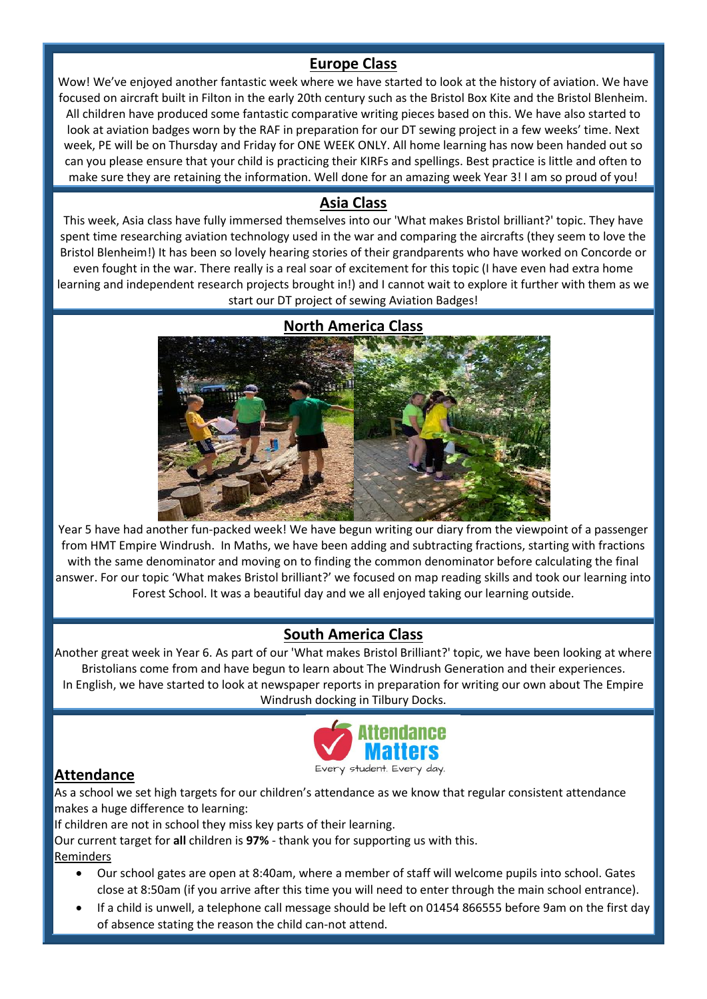### **Europe Class**

Wow! We've enjoyed another fantastic week where we have started to look at the history of aviation. We have focused on aircraft built in Filton in the early 20th century such as the Bristol Box Kite and the Bristol Blenheim. All children have produced some fantastic comparative writing pieces based on this. We have also started to look at aviation badges worn by the RAF in preparation for our DT sewing project in a few weeks' time. Next week, PE will be on Thursday and Friday for ONE WEEK ONLY. All home learning has now been handed out so can you please ensure that your child is practicing their KIRFs and spellings. Best practice is little and often to make sure they are retaining the information. Well done for an amazing week Year 3! I am so proud of you!

### **Asia Class**

This week, Asia class have fully immersed themselves into our 'What makes Bristol brilliant?' topic. They have spent time researching aviation technology used in the war and comparing the aircrafts (they seem to love the Bristol Blenheim!) It has been so lovely hearing stories of their grandparents who have worked on Concorde or even fought in the war. There really is a real soar of excitement for this topic (I have even had extra home learning and independent research projects brought in!) and I cannot wait to explore it further with them as we start our DT project of sewing Aviation Badges!

# **North America Class**

Year 5 have had another fun-packed week! We have begun writing our diary from the viewpoint of a passenger from HMT Empire Windrush. In Maths, we have been adding and subtracting fractions, starting with fractions with the same denominator and moving on to finding the common denominator before calculating the final answer. For our topic 'What makes Bristol brilliant?' we focused on map reading skills and took our learning into Forest School. It was a beautiful day and we all enjoyed taking our learning outside.

### **South America Class**

Another great week in Year 6. As part of our 'What makes Bristol Brilliant?' topic, we have been looking at where Bristolians come from and have begun to learn about The Windrush Generation and their experiences. In English, we have started to look at newspaper reports in preparation for writing our own about The Empire Windrush docking in Tilbury Docks.



### **Attendance**

As a school we set high targets for our children's attendance as we know that regular consistent attendance makes a huge difference to learning:

If children are not in school they miss key parts of their learning.

Our current target for **all** children is **97%** - thank you for supporting us with this.

Reminders

- Our school gates are open at 8:40am, where a member of staff will welcome pupils into school. Gates close at 8:50am (if you arrive after this time you will need to enter through the main school entrance).
- If a child is unwell, a telephone call message should be left on 01454 866555 before 9am on the first day of absence stating the reason the child can-not attend.